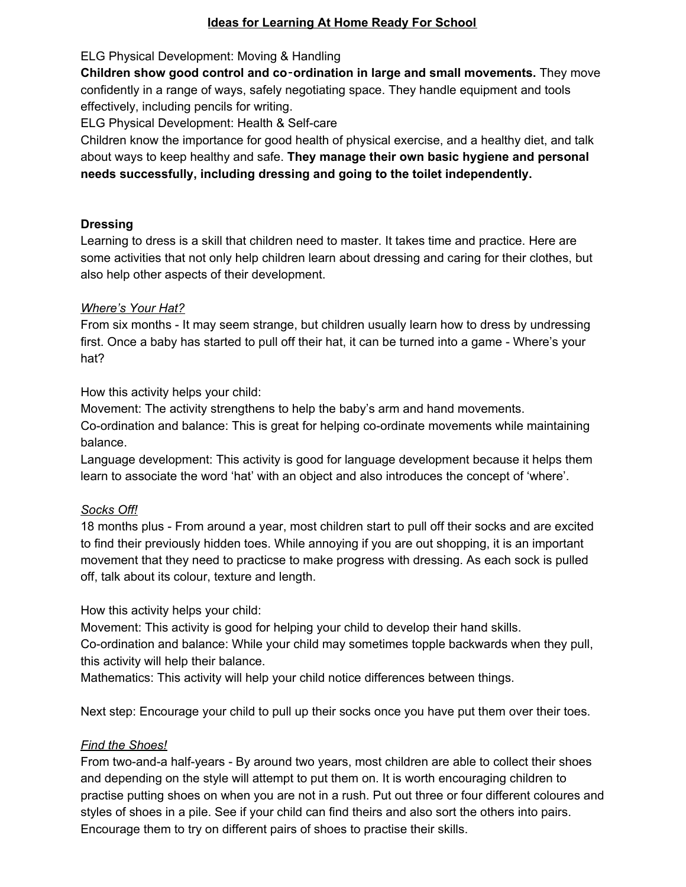### **Ideas for Learning At Home Ready For School**

ELG Physical Development: Moving & Handling

**Children show good control and co**‑**ordination in large and small movements.** They move confidently in a range of ways, safely negotiating space. They handle equipment and tools effectively, including pencils for writing.

ELG Physical Development: Health & Self-care

Children know the importance for good health of physical exercise, and a healthy diet, and talk about ways to keep healthy and safe. **They manage their own basic hygiene and personal needs successfully, including dressing and going to the toilet independently.**

### **Dressing**

Learning to dress is a skill that children need to master. It takes time and practice. Here are some activities that not only help children learn about dressing and caring for their clothes, but also help other aspects of their development.

## *Where's Your Hat?*

From six months - It may seem strange, but children usually learn how to dress by undressing first. Once a baby has started to pull off their hat, it can be turned into a game - Where's your hat?

How this activity helps your child:

Movement: The activity strengthens to help the baby's arm and hand movements.

Co-ordination and balance: This is great for helping co-ordinate movements while maintaining balance.

Language development: This activity is good for language development because it helps them learn to associate the word 'hat' with an object and also introduces the concept of 'where'.

# *Socks Off!*

18 months plus - From around a year, most children start to pull off their socks and are excited to find their previously hidden toes. While annoying if you are out shopping, it is an important movement that they need to practicse to make progress with dressing. As each sock is pulled off, talk about its colour, texture and length.

How this activity helps your child:

Movement: This activity is good for helping your child to develop their hand skills.

Co-ordination and balance: While your child may sometimes topple backwards when they pull, this activity will help their balance.

Mathematics: This activity will help your child notice differences between things.

Next step: Encourage your child to pull up their socks once you have put them over their toes.

# *Find the Shoes!*

From two-and-a half-years - By around two years, most children are able to collect their shoes and depending on the style will attempt to put them on. It is worth encouraging children to practise putting shoes on when you are not in a rush. Put out three or four different coloures and styles of shoes in a pile. See if your child can find theirs and also sort the others into pairs. Encourage them to try on different pairs of shoes to practise their skills.